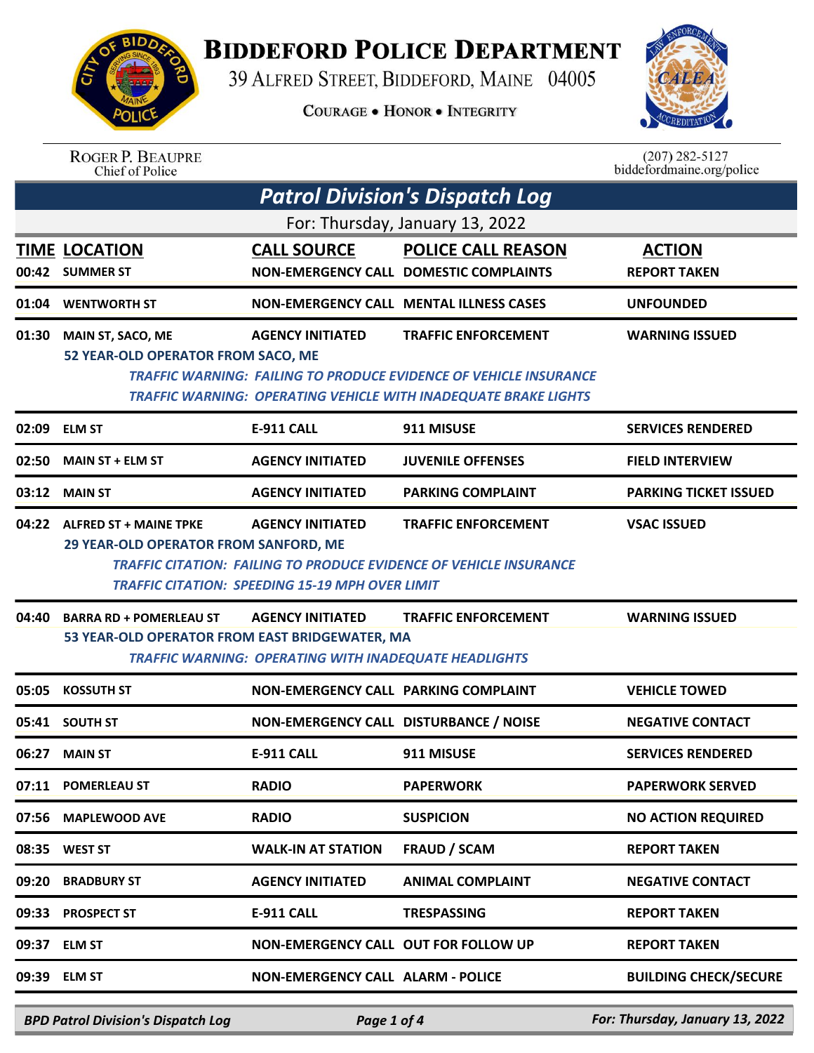

## **BIDDEFORD POLICE DEPARTMENT**

39 ALFRED STREET, BIDDEFORD, MAINE 04005

**COURAGE . HONOR . INTEGRITY** 



| <b>ROGER P. BEAUPRE</b> |
|-------------------------|
| Chief of Police         |

 $(207)$  282-5127<br>biddefordmaine.org/police

|                                 | <b>Patrol Division's Dispatch Log</b>                                                                                                                                                                                                                                                       |                                                                                         |                                                                                                                                                                                  |                                      |  |  |
|---------------------------------|---------------------------------------------------------------------------------------------------------------------------------------------------------------------------------------------------------------------------------------------------------------------------------------------|-----------------------------------------------------------------------------------------|----------------------------------------------------------------------------------------------------------------------------------------------------------------------------------|--------------------------------------|--|--|
| For: Thursday, January 13, 2022 |                                                                                                                                                                                                                                                                                             |                                                                                         |                                                                                                                                                                                  |                                      |  |  |
| 00:42                           | <b>TIME LOCATION</b><br><b>SUMMER ST</b>                                                                                                                                                                                                                                                    | <b>CALL SOURCE</b>                                                                      | <b>POLICE CALL REASON</b><br>NON-EMERGENCY CALL DOMESTIC COMPLAINTS                                                                                                              | <b>ACTION</b><br><b>REPORT TAKEN</b> |  |  |
| 01:04                           | <b>WENTWORTH ST</b>                                                                                                                                                                                                                                                                         |                                                                                         | <b>NON-EMERGENCY CALL MENTAL ILLNESS CASES</b>                                                                                                                                   | <b>UNFOUNDED</b>                     |  |  |
| 01:30                           | <b>MAIN ST, SACO, ME</b><br>52 YEAR-OLD OPERATOR FROM SACO, ME                                                                                                                                                                                                                              | <b>AGENCY INITIATED</b>                                                                 | <b>TRAFFIC ENFORCEMENT</b><br><b>TRAFFIC WARNING: FAILING TO PRODUCE EVIDENCE OF VEHICLE INSURANCE</b><br><b>TRAFFIC WARNING: OPERATING VEHICLE WITH INADEQUATE BRAKE LIGHTS</b> | <b>WARNING ISSUED</b>                |  |  |
| 02:09                           | <b>ELM ST</b>                                                                                                                                                                                                                                                                               | <b>E-911 CALL</b>                                                                       | 911 MISUSE                                                                                                                                                                       | <b>SERVICES RENDERED</b>             |  |  |
| 02:50                           | <b>MAIN ST + ELM ST</b>                                                                                                                                                                                                                                                                     | <b>AGENCY INITIATED</b>                                                                 | <b>JUVENILE OFFENSES</b>                                                                                                                                                         | <b>FIELD INTERVIEW</b>               |  |  |
| 03:12                           | <b>MAIN ST</b>                                                                                                                                                                                                                                                                              | <b>AGENCY INITIATED</b>                                                                 | <b>PARKING COMPLAINT</b>                                                                                                                                                         | <b>PARKING TICKET ISSUED</b>         |  |  |
|                                 | 04:22 ALFRED ST + MAINE TPKE<br><b>AGENCY INITIATED</b><br><b>TRAFFIC ENFORCEMENT</b><br><b>VSAC ISSUED</b><br>29 YEAR-OLD OPERATOR FROM SANFORD, ME<br><b>TRAFFIC CITATION: FAILING TO PRODUCE EVIDENCE OF VEHICLE INSURANCE</b><br><b>TRAFFIC CITATION: SPEEDING 15-19 MPH OVER LIMIT</b> |                                                                                         |                                                                                                                                                                                  |                                      |  |  |
| 04:40                           | <b>BARRA RD + POMERLEAU ST</b><br>53 YEAR-OLD OPERATOR FROM EAST BRIDGEWATER, MA                                                                                                                                                                                                            | <b>AGENCY INITIATED</b><br><b>TRAFFIC WARNING: OPERATING WITH INADEQUATE HEADLIGHTS</b> | <b>TRAFFIC ENFORCEMENT</b>                                                                                                                                                       | <b>WARNING ISSUED</b>                |  |  |
| 05:05                           | <b>KOSSUTH ST</b>                                                                                                                                                                                                                                                                           | <b>NON-EMERGENCY CALL PARKING COMPLAINT</b>                                             |                                                                                                                                                                                  | <b>VEHICLE TOWED</b>                 |  |  |
|                                 | 05:41 SOUTH ST                                                                                                                                                                                                                                                                              | NON-EMERGENCY CALL DISTURBANCE / NOISE                                                  |                                                                                                                                                                                  | <b>NEGATIVE CONTACT</b>              |  |  |
| 06:27                           | <b>MAIN ST</b>                                                                                                                                                                                                                                                                              | <b>E-911 CALL</b>                                                                       | 911 MISUSE                                                                                                                                                                       | <b>SERVICES RENDERED</b>             |  |  |
|                                 | 07:11 POMERLEAU ST                                                                                                                                                                                                                                                                          | <b>RADIO</b>                                                                            | <b>PAPERWORK</b>                                                                                                                                                                 | <b>PAPERWORK SERVED</b>              |  |  |
|                                 | 07:56 MAPLEWOOD AVE                                                                                                                                                                                                                                                                         | <b>RADIO</b>                                                                            | <b>SUSPICION</b>                                                                                                                                                                 | <b>NO ACTION REQUIRED</b>            |  |  |
|                                 | 08:35 WEST ST                                                                                                                                                                                                                                                                               | <b>WALK-IN AT STATION</b>                                                               | <b>FRAUD / SCAM</b>                                                                                                                                                              | <b>REPORT TAKEN</b>                  |  |  |
|                                 | 09:20 BRADBURY ST                                                                                                                                                                                                                                                                           | <b>AGENCY INITIATED</b>                                                                 | <b>ANIMAL COMPLAINT</b>                                                                                                                                                          | <b>NEGATIVE CONTACT</b>              |  |  |
|                                 | 09:33 PROSPECT ST                                                                                                                                                                                                                                                                           | E-911 CALL                                                                              | <b>TRESPASSING</b>                                                                                                                                                               | <b>REPORT TAKEN</b>                  |  |  |
|                                 | 09:37 ELM ST                                                                                                                                                                                                                                                                                | NON-EMERGENCY CALL OUT FOR FOLLOW UP                                                    |                                                                                                                                                                                  | <b>REPORT TAKEN</b>                  |  |  |
|                                 | 09:39 ELM ST                                                                                                                                                                                                                                                                                | <b>NON-EMERGENCY CALL ALARM - POLICE</b>                                                |                                                                                                                                                                                  | <b>BUILDING CHECK/SECURE</b>         |  |  |

*BPD Patrol Division's Dispatch Log Page 1 of 4 For: Thursday, January 13, 2022*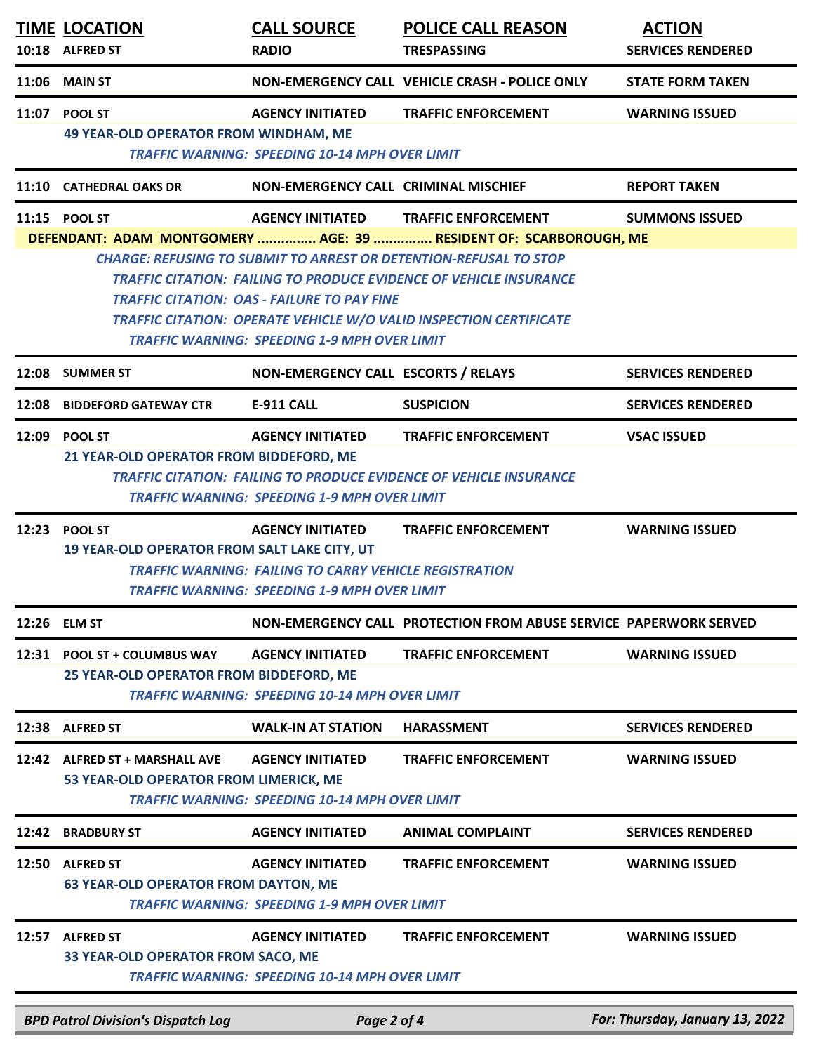|       | <b>TIME LOCATION</b><br>10:18 ALFRED ST                                  | <b>CALL SOURCE</b><br><b>RADIO</b>                                                                                                              | <b>POLICE CALL REASON</b><br><b>TRESPASSING</b>                                                                                                                                                                                                                                                  | <b>ACTION</b><br><b>SERVICES RENDERED</b> |
|-------|--------------------------------------------------------------------------|-------------------------------------------------------------------------------------------------------------------------------------------------|--------------------------------------------------------------------------------------------------------------------------------------------------------------------------------------------------------------------------------------------------------------------------------------------------|-------------------------------------------|
| 11:06 | <b>MAIN ST</b>                                                           |                                                                                                                                                 | NON-EMERGENCY CALL VEHICLE CRASH - POLICE ONLY                                                                                                                                                                                                                                                   | <b>STATE FORM TAKEN</b>                   |
|       | 11:07 POOL ST<br><b>49 YEAR-OLD OPERATOR FROM WINDHAM, ME</b>            | <b>AGENCY INITIATED</b><br><b>TRAFFIC WARNING: SPEEDING 10-14 MPH OVER LIMIT</b>                                                                | <b>TRAFFIC ENFORCEMENT</b>                                                                                                                                                                                                                                                                       | <b>WARNING ISSUED</b>                     |
|       | 11:10 CATHEDRAL OAKS DR                                                  | NON-EMERGENCY CALL CRIMINAL MISCHIEF                                                                                                            |                                                                                                                                                                                                                                                                                                  | <b>REPORT TAKEN</b>                       |
|       | 11:15 POOL ST                                                            | <b>AGENCY INITIATED</b>                                                                                                                         | <b>TRAFFIC ENFORCEMENT</b>                                                                                                                                                                                                                                                                       | <b>SUMMONS ISSUED</b>                     |
|       |                                                                          | <b>TRAFFIC CITATION: OAS - FAILURE TO PAY FINE</b><br><b>TRAFFIC WARNING: SPEEDING 1-9 MPH OVER LIMIT</b>                                       | DEFENDANT: ADAM MONTGOMERY  AGE: 39  RESIDENT OF: SCARBOROUGH, ME<br><b>CHARGE: REFUSING TO SUBMIT TO ARREST OR DETENTION-REFUSAL TO STOP</b><br><b>TRAFFIC CITATION: FAILING TO PRODUCE EVIDENCE OF VEHICLE INSURANCE</b><br>TRAFFIC CITATION: OPERATE VEHICLE W/O VALID INSPECTION CERTIFICATE |                                           |
|       | 12:08 SUMMER ST                                                          | NON-EMERGENCY CALL ESCORTS / RELAYS                                                                                                             |                                                                                                                                                                                                                                                                                                  | <b>SERVICES RENDERED</b>                  |
|       | 12:08 BIDDEFORD GATEWAY CTR                                              | <b>E-911 CALL</b>                                                                                                                               | <b>SUSPICION</b>                                                                                                                                                                                                                                                                                 | <b>SERVICES RENDERED</b>                  |
|       | 12:09 POOL ST<br>21 YEAR-OLD OPERATOR FROM BIDDEFORD, ME                 | <b>AGENCY INITIATED</b><br><b>TRAFFIC WARNING: SPEEDING 1-9 MPH OVER LIMIT</b>                                                                  | <b>TRAFFIC ENFORCEMENT</b><br><b>TRAFFIC CITATION: FAILING TO PRODUCE EVIDENCE OF VEHICLE INSURANCE</b>                                                                                                                                                                                          | <b>VSAC ISSUED</b>                        |
| 12:23 | <b>POOL ST</b><br><b>19 YEAR-OLD OPERATOR FROM SALT LAKE CITY, UT</b>    | <b>AGENCY INITIATED</b><br><b>TRAFFIC WARNING: FAILING TO CARRY VEHICLE REGISTRATION</b><br><b>TRAFFIC WARNING: SPEEDING 1-9 MPH OVER LIMIT</b> | <b>TRAFFIC ENFORCEMENT</b>                                                                                                                                                                                                                                                                       | <b>WARNING ISSUED</b>                     |
|       | 12:26 ELM ST                                                             |                                                                                                                                                 | NON-EMERGENCY CALL PROTECTION FROM ABUSE SERVICE PAPERWORK SERVED                                                                                                                                                                                                                                |                                           |
| 12:31 | <b>POOL ST + COLUMBUS WAY</b><br>25 YEAR-OLD OPERATOR FROM BIDDEFORD, ME | <b>AGENCY INITIATED</b><br><b>TRAFFIC WARNING: SPEEDING 10-14 MPH OVER LIMIT</b>                                                                | <b>TRAFFIC ENFORCEMENT</b>                                                                                                                                                                                                                                                                       | <b>WARNING ISSUED</b>                     |
| 12:38 | <b>ALFRED ST</b>                                                         | <b>WALK-IN AT STATION</b>                                                                                                                       | <b>HARASSMENT</b>                                                                                                                                                                                                                                                                                | <b>SERVICES RENDERED</b>                  |
|       | 12:42 ALFRED ST + MARSHALL AVE<br>53 YEAR-OLD OPERATOR FROM LIMERICK, ME | <b>AGENCY INITIATED</b><br><b>TRAFFIC WARNING: SPEEDING 10-14 MPH OVER LIMIT</b>                                                                | <b>TRAFFIC ENFORCEMENT</b>                                                                                                                                                                                                                                                                       | <b>WARNING ISSUED</b>                     |
| 12:42 | <b>BRADBURY ST</b>                                                       | <b>AGENCY INITIATED</b>                                                                                                                         | <b>ANIMAL COMPLAINT</b>                                                                                                                                                                                                                                                                          | <b>SERVICES RENDERED</b>                  |
| 12:50 | <b>ALFRED ST</b><br><b>63 YEAR-OLD OPERATOR FROM DAYTON, ME</b>          | <b>AGENCY INITIATED</b><br><b>TRAFFIC WARNING: SPEEDING 1-9 MPH OVER LIMIT</b>                                                                  | <b>TRAFFIC ENFORCEMENT</b>                                                                                                                                                                                                                                                                       | <b>WARNING ISSUED</b>                     |
| 12:57 | <b>ALFRED ST</b><br>33 YEAR-OLD OPERATOR FROM SACO, ME                   | <b>AGENCY INITIATED</b><br><b>TRAFFIC WARNING: SPEEDING 10-14 MPH OVER LIMIT</b>                                                                | <b>TRAFFIC ENFORCEMENT</b>                                                                                                                                                                                                                                                                       | <b>WARNING ISSUED</b>                     |
|       | <b>BPD Patrol Division's Dispatch Log</b>                                | Page 2 of 4                                                                                                                                     |                                                                                                                                                                                                                                                                                                  | For: Thursday, January 13, 2022           |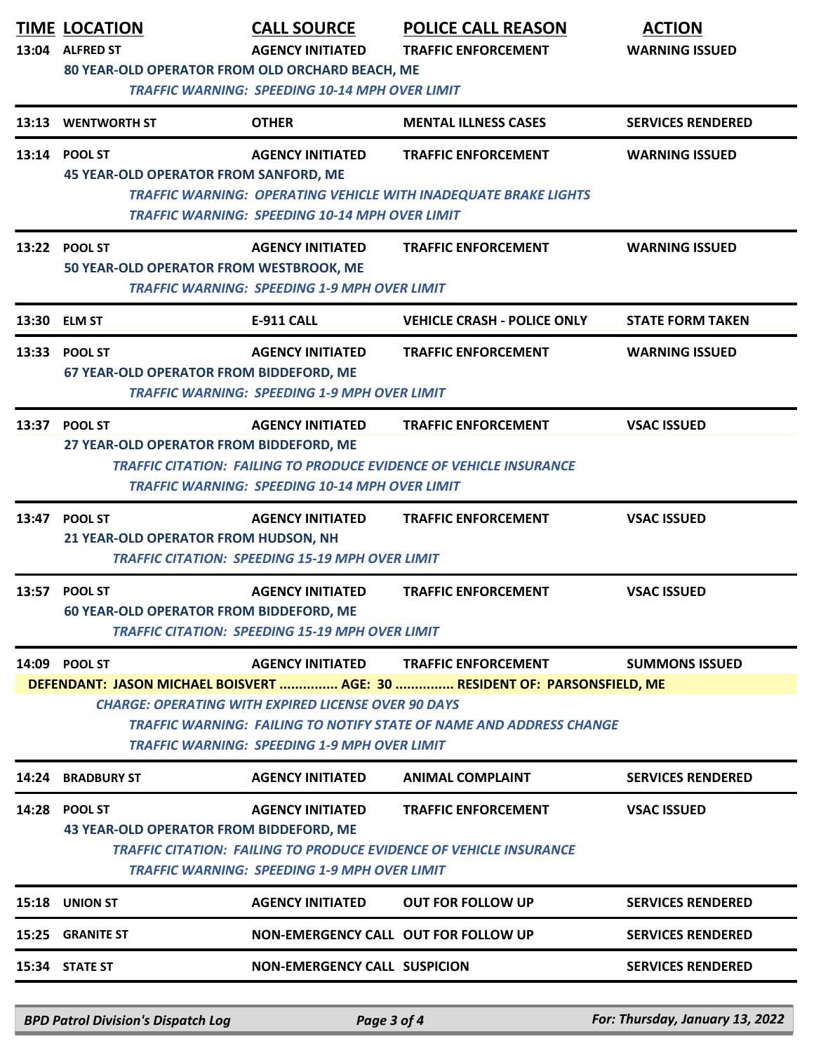| 13:04 | <b>TIME LOCATION</b><br><b>ALFRED ST</b><br>80 YEAR-OLD OPERATOR FROM OLD ORCHARD BEACH, ME | <b>CALL SOURCE</b><br><b>AGENCY INITIATED</b><br><b>TRAFFIC WARNING: SPEEDING 10-14 MPH OVER LIMIT</b>            | <b>POLICE CALL REASON</b><br><b>TRAFFIC ENFORCEMENT</b>                                                                                          | <b>ACTION</b><br><b>WARNING ISSUED</b> |
|-------|---------------------------------------------------------------------------------------------|-------------------------------------------------------------------------------------------------------------------|--------------------------------------------------------------------------------------------------------------------------------------------------|----------------------------------------|
|       | 13:13 WENTWORTH ST                                                                          | <b>OTHER</b>                                                                                                      | <b>MENTAL ILLNESS CASES</b>                                                                                                                      | <b>SERVICES RENDERED</b>               |
|       | 13:14 POOL ST<br><b>45 YEAR-OLD OPERATOR FROM SANFORD, ME</b>                               | <b>AGENCY INITIATED</b><br><b>TRAFFIC WARNING: SPEEDING 10-14 MPH OVER LIMIT</b>                                  | <b>TRAFFIC ENFORCEMENT</b><br><b>TRAFFIC WARNING: OPERATING VEHICLE WITH INADEQUATE BRAKE LIGHTS</b>                                             | <b>WARNING ISSUED</b>                  |
|       | 13:22 POOL ST<br>50 YEAR-OLD OPERATOR FROM WESTBROOK, ME                                    | <b>AGENCY INITIATED</b><br><b>TRAFFIC WARNING: SPEEDING 1-9 MPH OVER LIMIT</b>                                    | <b>TRAFFIC ENFORCEMENT</b>                                                                                                                       | <b>WARNING ISSUED</b>                  |
| 13:30 | <b>ELM ST</b>                                                                               | <b>E-911 CALL</b>                                                                                                 | <b>VEHICLE CRASH - POLICE ONLY</b>                                                                                                               | <b>STATE FORM TAKEN</b>                |
| 13:33 | <b>POOL ST</b><br><b>67 YEAR-OLD OPERATOR FROM BIDDEFORD, ME</b>                            | <b>AGENCY INITIATED</b><br><b>TRAFFIC WARNING: SPEEDING 1-9 MPH OVER LIMIT</b>                                    | <b>TRAFFIC ENFORCEMENT</b>                                                                                                                       | <b>WARNING ISSUED</b>                  |
|       | 13:37 POOL ST<br>27 YEAR-OLD OPERATOR FROM BIDDEFORD, ME                                    | <b>AGENCY INITIATED</b><br><b>TRAFFIC WARNING: SPEEDING 10-14 MPH OVER LIMIT</b>                                  | <b>TRAFFIC ENFORCEMENT</b><br><b>TRAFFIC CITATION: FAILING TO PRODUCE EVIDENCE OF VEHICLE INSURANCE</b>                                          | <b>VSAC ISSUED</b>                     |
| 13:47 | <b>POOL ST</b><br>21 YEAR-OLD OPERATOR FROM HUDSON, NH                                      | <b>AGENCY INITIATED</b><br><b>TRAFFIC CITATION: SPEEDING 15-19 MPH OVER LIMIT</b>                                 | <b>TRAFFIC ENFORCEMENT</b>                                                                                                                       | <b>VSAC ISSUED</b>                     |
| 13:57 | <b>POOL ST</b><br>60 YEAR-OLD OPERATOR FROM BIDDEFORD, ME                                   | <b>AGENCY INITIATED</b><br><b>TRAFFIC CITATION: SPEEDING 15-19 MPH OVER LIMIT</b>                                 | <b>TRAFFIC ENFORCEMENT</b>                                                                                                                       | <b>VSAC ISSUED</b>                     |
|       | 14:09 POOL ST                                                                               | <b>AGENCY INITIATED</b>                                                                                           | <b>TRAFFIC ENFORCEMENT</b>                                                                                                                       | <b>SUMMONS ISSUED</b>                  |
|       |                                                                                             | <b>CHARGE: OPERATING WITH EXPIRED LICENSE OVER 90 DAYS</b><br><b>TRAFFIC WARNING: SPEEDING 1-9 MPH OVER LIMIT</b> | DEFENDANT: JASON MICHAEL BOISVERT  AGE: 30  RESIDENT OF: PARSONSFIELD, ME<br>TRAFFIC WARNING: FAILING TO NOTIFY STATE OF NAME AND ADDRESS CHANGE |                                        |
| 14:24 | <b>BRADBURY ST</b>                                                                          | <b>AGENCY INITIATED</b>                                                                                           | <b>ANIMAL COMPLAINT</b>                                                                                                                          | <b>SERVICES RENDERED</b>               |
|       | 14:28 POOL ST<br><b>43 YEAR-OLD OPERATOR FROM BIDDEFORD, ME</b>                             | <b>AGENCY INITIATED</b><br><b>TRAFFIC WARNING: SPEEDING 1-9 MPH OVER LIMIT</b>                                    | <b>TRAFFIC ENFORCEMENT</b><br>TRAFFIC CITATION: FAILING TO PRODUCE EVIDENCE OF VEHICLE INSURANCE                                                 | <b>VSAC ISSUED</b>                     |
|       | 15:18 UNION ST                                                                              | <b>AGENCY INITIATED</b>                                                                                           | <b>OUT FOR FOLLOW UP</b>                                                                                                                         | <b>SERVICES RENDERED</b>               |
|       | 15:25 GRANITE ST                                                                            |                                                                                                                   | NON-EMERGENCY CALL OUT FOR FOLLOW UP                                                                                                             | <b>SERVICES RENDERED</b>               |
|       | 15:34 STATE ST                                                                              | <b>NON-EMERGENCY CALL SUSPICION</b>                                                                               |                                                                                                                                                  | <b>SERVICES RENDERED</b>               |
|       |                                                                                             |                                                                                                                   |                                                                                                                                                  |                                        |

*BPD Patrol Division's Dispatch Log Page 3 of 4 For: Thursday, January 13, 2022*